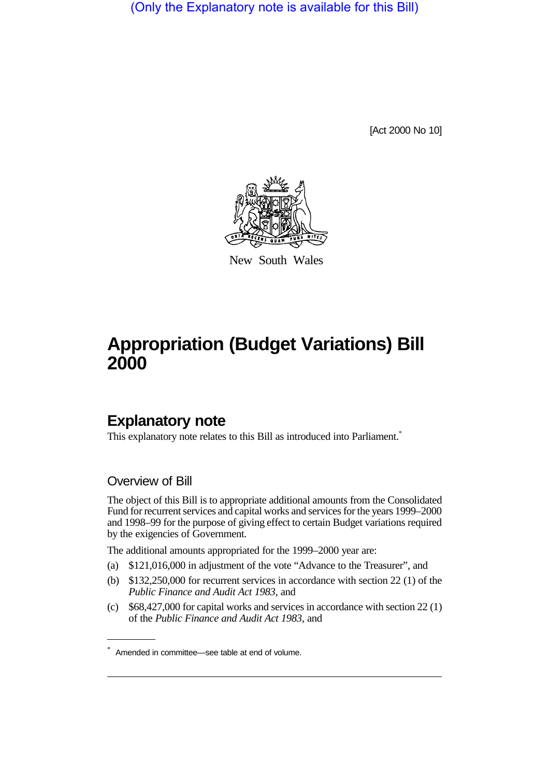(Only the Explanatory note is available for this Bill)

[Act 2000 No 10]



New South Wales

# **Appropriation (Budget Variations) Bill 2000**

# **Explanatory note**

This explanatory note relates to this Bill as introduced into Parliament.<sup>\*</sup>

### Overview of Bill

The object of this Bill is to appropriate additional amounts from the Consolidated Fund for recurrent services and capital works and services for the years 1999–2000 and 1998–99 for the purpose of giving effect to certain Budget variations required by the exigencies of Government.

The additional amounts appropriated for the 1999–2000 year are:

- (a) \$121,016,000 in adjustment of the vote "Advance to the Treasurer", and
- (b) \$132,250,000 for recurrent services in accordance with section 22 (1) of the *Public Finance and Audit Act 1983*, and
- (c) \$68,427,000 for capital works and services in accordance with section 22 (1) of the *Public Finance and Audit Act 1983*, and

<sup>\*</sup> Amended in committee—see table at end of volume.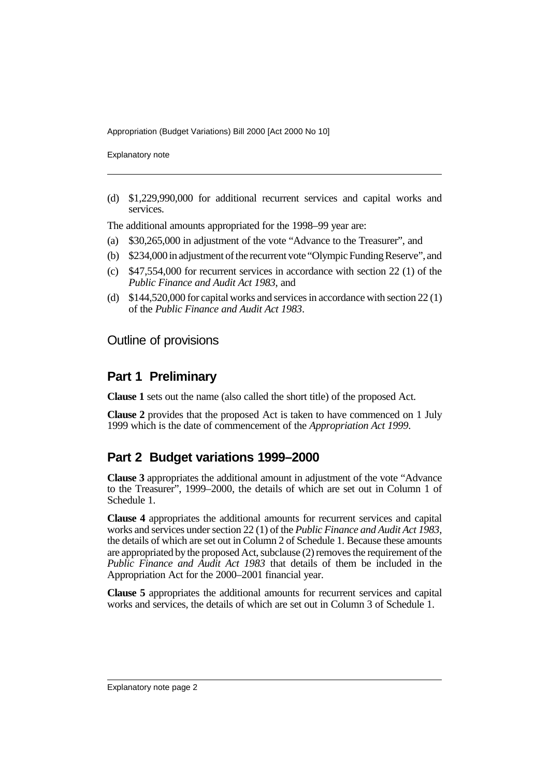Appropriation (Budget Variations) Bill 2000 [Act 2000 No 10]

Explanatory note

(d) \$1,229,990,000 for additional recurrent services and capital works and services.

The additional amounts appropriated for the 1998–99 year are:

- (a) \$30,265,000 in adjustment of the vote "Advance to the Treasurer", and
- (b) \$234,000 in adjustment of the recurrent vote "Olympic Funding Reserve", and
- (c) \$47,554,000 for recurrent services in accordance with section 22 (1) of the *Public Finance and Audit Act 1983*, and
- (d) \$144,520,000 for capital works and services in accordance with section 22 (1) of the *Public Finance and Audit Act 1983*.

#### Outline of provisions

## **Part 1 Preliminary**

**Clause 1** sets out the name (also called the short title) of the proposed Act.

**Clause 2** provides that the proposed Act is taken to have commenced on 1 July 1999 which is the date of commencement of the *Appropriation Act 1999*.

# **Part 2 Budget variations 1999–2000**

**Clause 3** appropriates the additional amount in adjustment of the vote "Advance to the Treasurer", 1999–2000, the details of which are set out in Column 1 of Schedule 1.

**Clause 4** appropriates the additional amounts for recurrent services and capital works and services under section 22 (1) of the *Public Finance and Audit Act 1983*, the details of which are set out in Column 2 of Schedule 1. Because these amounts are appropriated by the proposed Act, subclause (2) removes the requirement of the *Public Finance and Audit Act 1983* that details of them be included in the Appropriation Act for the 2000–2001 financial year.

**Clause 5** appropriates the additional amounts for recurrent services and capital works and services, the details of which are set out in Column 3 of Schedule 1.